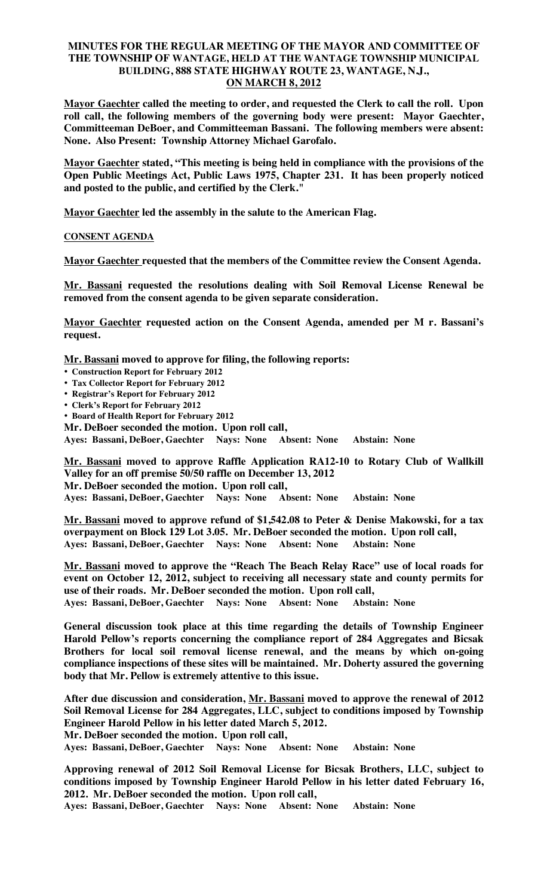# **MINUTES FOR THE REGULAR MEETING OF THE MAYOR AND COMMITTEE OF THE TOWNSHIP OF WANTAGE, HELD AT THE WANTAGE TOWNSHIP MUNICIPAL BUILDING, 888 STATE HIGHWAY ROUTE 23, WANTAGE, N.J., ON MARCH 8, 2012**

**Mayor Gaechter called the meeting to order, and requested the Clerk to call the roll. Upon roll call, the following members of the governing body were present: Mayor Gaechter, Committeeman DeBoer, and Committeeman Bassani. The following members were absent: None. Also Present: Township Attorney Michael Garofalo.** 

**Mayor Gaechter stated, "This meeting is being held in compliance with the provisions of the Open Public Meetings Act, Public Laws 1975, Chapter 231. It has been properly noticed and posted to the public, and certified by the Clerk."** 

**Mayor Gaechter led the assembly in the salute to the American Flag.** 

# **CONSENT AGENDA**

**Mayor Gaechter requested that the members of the Committee review the Consent Agenda.** 

**Mr. Bassani requested the resolutions dealing with Soil Removal License Renewal be removed from the consent agenda to be given separate consideration.** 

**Mayor Gaechter requested action on the Consent Agenda, amended per M r. Bassani's request.** 

**Mr. Bassani moved to approve for filing, the following reports:** 

- **Construction Report for February 2012**
- **Tax Collector Report for February 2012**
- **Registrar's Report for February 2012**
- **Clerk's Report for February 2012**
- **Board of Health Report for February 2012**
- **Mr. DeBoer seconded the motion. Upon roll call,**

**Ayes: Bassani, DeBoer, Gaechter Nays: None Absent: None Abstain: None**

**Mr. Bassani moved to approve Raffle Application RA12-10 to Rotary Club of Wallkill Valley for an off premise 50/50 raffle on December 13, 2012 Mr. DeBoer seconded the motion. Upon roll call,** 

**Ayes: Bassani, DeBoer, Gaechter Nays: None Absent: None Abstain: None**

**Mr. Bassani moved to approve refund of \$1,542.08 to Peter & Denise Makowski, for a tax overpayment on Block 129 Lot 3.05. Mr. DeBoer seconded the motion. Upon roll call, Ayes: Bassani, DeBoer, Gaechter Nays: None Absent: None Abstain: None**

**Mr. Bassani moved to approve the "Reach The Beach Relay Race" use of local roads for event on October 12, 2012, subject to receiving all necessary state and county permits for use of their roads. Mr. DeBoer seconded the motion. Upon roll call, Ayes: Bassani, DeBoer, Gaechter Nays: None Absent: None Abstain: None**

**General discussion took place at this time regarding the details of Township Engineer Harold Pellow's reports concerning the compliance report of 284 Aggregates and Bicsak Brothers for local soil removal license renewal, and the means by which on-going compliance inspections of these sites will be maintained. Mr. Doherty assured the governing body that Mr. Pellow is extremely attentive to this issue.** 

**After due discussion and consideration, Mr. Bassani moved to approve the renewal of 2012 Soil Removal License for 284 Aggregates, LLC, subject to conditions imposed by Township Engineer Harold Pellow in his letter dated March 5, 2012.** 

**Mr. DeBoer seconded the motion. Upon roll call,** 

**Ayes: Bassani, DeBoer, Gaechter Nays: None Absent: None Abstain: None**

**Approving renewal of 2012 Soil Removal License for Bicsak Brothers, LLC, subject to conditions imposed by Township Engineer Harold Pellow in his letter dated February 16, 2012. Mr. DeBoer seconded the motion. Upon roll call,** 

**Ayes: Bassani, DeBoer, Gaechter Nays: None Absent: None Abstain: None**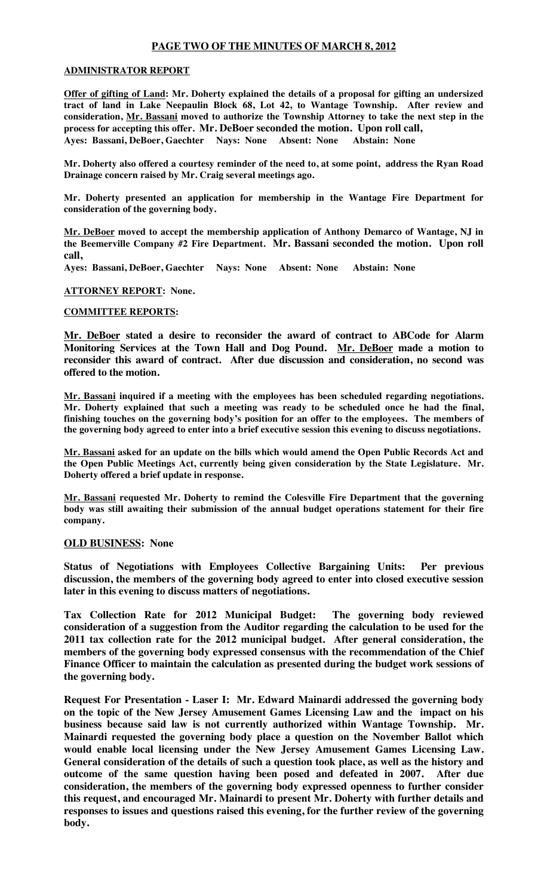# **PAGE TWO OF THE MINUTES OF MARCH 8, 2012**

## **ADMINISTRATOR REPORT**

**Offer of gifting of Land: Mr. Doherty explained the details of a proposal for gifting an undersized tract of land in Lake Neepaulin Block 68, Lot 42, to Wantage Township. After review and consideration, Mr. Bassani moved to authorize the Township Attorney to take the next step in the process for accepting this offer. Mr. DeBoer seconded the motion. Upon roll call, Ayes: Bassani, DeBoer, Gaechter Nays: None Absent: None Abstain: None**

**Mr. Doherty also offered a courtesy reminder of the need to, at some point, address the Ryan Road Drainage concern raised by Mr. Craig several meetings ago.** 

**Mr. Doherty presented an application for membership in the Wantage Fire Department for consideration of the governing body.**

**Mr. DeBoer moved to accept the membership application of Anthony Demarco of Wantage, NJ in the Beemerville Company #2 Fire Department. Mr. Bassani seconded the motion. Upon roll call,** 

**Ayes: Bassani, DeBoer, Gaechter Nays: None Absent: None Abstain: None**

**ATTORNEY REPORT: None.**

## **COMMITTEE REPORTS:**

**Mr. DeBoer stated a desire to reconsider the award of contract to ABCode for Alarm Monitoring Services at the Town Hall and Dog Pound. Mr. DeBoer made a motion to reconsider this award of contract. After due discussion and consideration, no second was offered to the motion.** 

**Mr. Bassani inquired if a meeting with the employees has been scheduled regarding negotiations. Mr. Doherty explained that such a meeting was ready to be scheduled once he had the final, finishing touches on the governing body's position for an offer to the employees. The members of the governing body agreed to enter into a brief executive session this evening to discuss negotiations.** 

**Mr. Bassani asked for an update on the bills which would amend the Open Public Records Act and the Open Public Meetings Act, currently being given consideration by the State Legislature. Mr. Doherty offered a brief update in response.**

**Mr. Bassani requested Mr. Doherty to remind the Colesville Fire Department that the governing body was still awaiting their submission of the annual budget operations statement for their fire company.**

## **OLD BUSINESS: None**

**Status of Negotiations with Employees Collective Bargaining Units: Per previous discussion, the members of the governing body agreed to enter into closed executive session later in this evening to discuss matters of negotiations.** 

**Tax Collection Rate for 2012 Municipal Budget: The governing body reviewed consideration of a suggestion from the Auditor regarding the calculation to be used for the 2011 tax collection rate for the 2012 municipal budget. After general consideration, the members of the governing body expressed consensus with the recommendation of the Chief Finance Officer to maintain the calculation as presented during the budget work sessions of the governing body.** 

**Request For Presentation - Laser I: Mr. Edward Mainardi addressed the governing body on the topic of the New Jersey Amusement Games Licensing Law and the impact on his business because said law is not currently authorized within Wantage Township. Mr. Mainardi requested the governing body place a question on the November Ballot which would enable local licensing under the New Jersey Amusement Games Licensing Law. General consideration of the details of such a question took place, as well as the history and outcome of the same question having been posed and defeated in 2007. After due consideration, the members of the governing body expressed openness to further consider this request, and encouraged Mr. Mainardi to present Mr. Doherty with further details and responses to issues and questions raised this evening, for the further review of the governing body.**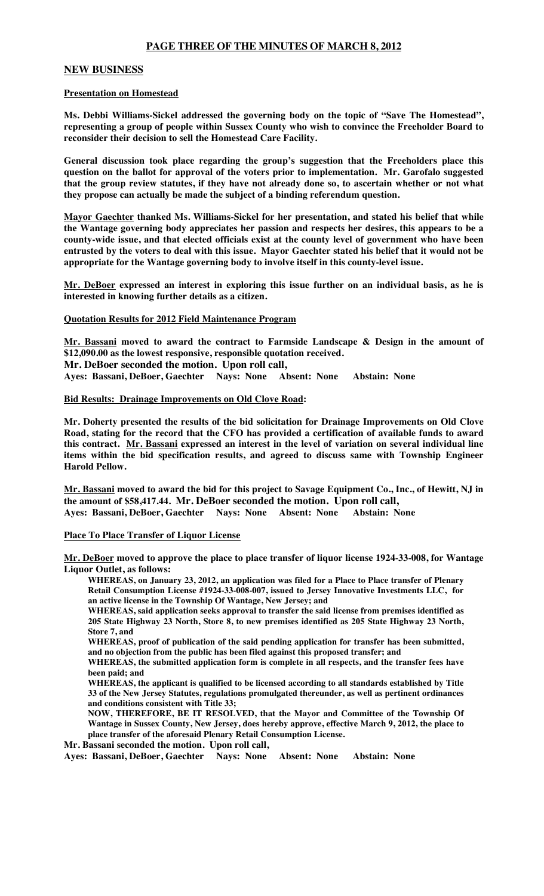# **PAGE THREE OF THE MINUTES OF MARCH 8, 2012**

## **NEW BUSINESS**

### **Presentation on Homestead**

**Ms. Debbi Williams-Sickel addressed the governing body on the topic of "Save The Homestead", representing a group of people within Sussex County who wish to convince the Freeholder Board to reconsider their decision to sell the Homestead Care Facility.**

**General discussion took place regarding the group's suggestion that the Freeholders place this question on the ballot for approval of the voters prior to implementation. Mr. Garofalo suggested that the group review statutes, if they have not already done so, to ascertain whether or not what they propose can actually be made the subject of a binding referendum question.**

**Mayor Gaechter thanked Ms. Williams-Sickel for her presentation, and stated his belief that while the Wantage governing body appreciates her passion and respects her desires, this appears to be a county-wide issue, and that elected officials exist at the county level of government who have been entrusted by the voters to deal with this issue. Mayor Gaechter stated his belief that it would not be appropriate for the Wantage governing body to involve itself in this county-level issue.**

**Mr. DeBoer expressed an interest in exploring this issue further on an individual basis, as he is interested in knowing further details as a citizen.**

### **Quotation Results for 2012 Field Maintenance Program**

**Mr. Bassani moved to award the contract to Farmside Landscape & Design in the amount of \$12,090.00 as the lowest responsive, responsible quotation received.** 

**Mr. DeBoer seconded the motion. Upon roll call,** 

**Ayes: Bassani, DeBoer, Gaechter Nays: None Absent: None Abstain: None**

#### **Bid Results: Drainage Improvements on Old Clove Road:**

**Mr. Doherty presented the results of the bid solicitation for Drainage Improvements on Old Clove Road, stating for the record that the CFO has provided a certification of available funds to award this contract. Mr. Bassani expressed an interest in the level of variation on several individual line items within the bid specification results, and agreed to discuss same with Township Engineer Harold Pellow.**

**Mr. Bassani moved to award the bid for this project to Savage Equipment Co., Inc., of Hewitt, NJ in the amount of \$58,417.44. Mr. DeBoer seconded the motion. Upon roll call, Ayes: Bassani, DeBoer, Gaechter Nays: None Absent: None Abstain: None**

### **Place To Place Transfer of Liquor License**

**Mr. DeBoer moved to approve the place to place transfer of liquor license 1924-33-008, for Wantage Liquor Outlet, as follows:**

**WHEREAS, on January 23, 2012, an application was filed for a Place to Place transfer of Plenary Retail Consumption License #1924-33-008-007, issued to Jersey Innovative Investments LLC, for an active license in the Township Of Wantage, New Jersey; and**

**WHEREAS, said application seeks approval to transfer the said license from premises identified as 205 State Highway 23 North, Store 8, to new premises identified as 205 State Highway 23 North, Store 7, and**

**WHEREAS, proof of publication of the said pending application for transfer has been submitted, and no objection from the public has been filed against this proposed transfer; and**

**WHEREAS, the submitted application form is complete in all respects, and the transfer fees have been paid; and**

**WHEREAS, the applicant is qualified to be licensed according to all standards established by Title 33 of the New Jersey Statutes, regulations promulgated thereunder, as well as pertinent ordinances and conditions consistent with Title 33;** 

**NOW, THEREFORE, BE IT RESOLVED, that the Mayor and Committee of the Township Of Wantage in Sussex County, New Jersey, does hereby approve, effective March 9, 2012, the place to place transfer of the aforesaid Plenary Retail Consumption License.** 

**Mr. Bassani seconded the motion. Upon roll call,**

**Ayes: Bassani, DeBoer, Gaechter Nays: None Absent: None Abstain: None**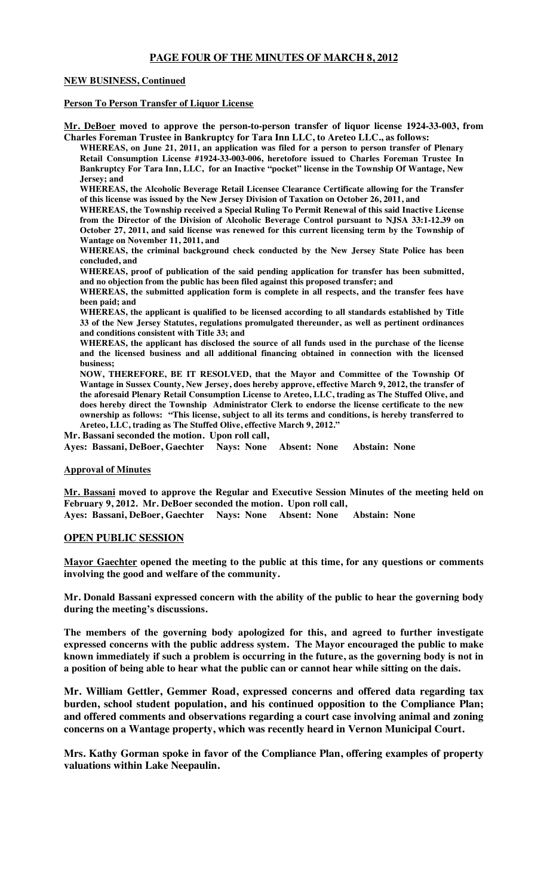# **PAGE FOUR OF THE MINUTES OF MARCH 8, 2012**

### **NEW BUSINESS, Continued**

### **Person To Person Transfer of Liquor License**

**Mr. DeBoer moved to approve the person-to-person transfer of liquor license 1924-33-003, from Charles Foreman Trustee in Bankruptcy for Tara Inn LLC, to Areteo LLC., as follows:**

**WHEREAS, on June 21, 2011, an application was filed for a person to person transfer of Plenary Retail Consumption License #1924-33-003-006, heretofore issued to Charles Foreman Trustee In Bankruptcy For Tara Inn, LLC, for an Inactive "pocket" license in the Township Of Wantage, New Jersey; and**

**WHEREAS, the Alcoholic Beverage Retail Licensee Clearance Certificate allowing for the Transfer of this license was issued by the New Jersey Division of Taxation on October 26, 2011, and**

**WHEREAS, the Township received a Special Ruling To Permit Renewal of this said Inactive License from the Director of the Division of Alcoholic Beverage Control pursuant to NJSA 33:1-12.39 on October 27, 2011, and said license was renewed for this current licensing term by the Township of Wantage on November 11, 2011, and**

**WHEREAS, the criminal background check conducted by the New Jersey State Police has been concluded, and**

**WHEREAS, proof of publication of the said pending application for transfer has been submitted, and no objection from the public has been filed against this proposed transfer; and**

**WHEREAS, the submitted application form is complete in all respects, and the transfer fees have been paid; and**

**WHEREAS, the applicant is qualified to be licensed according to all standards established by Title 33 of the New Jersey Statutes, regulations promulgated thereunder, as well as pertinent ordinances and conditions consistent with Title 33; and**

**WHEREAS, the applicant has disclosed the source of all funds used in the purchase of the license and the licensed business and all additional financing obtained in connection with the licensed business;** 

**NOW, THEREFORE, BE IT RESOLVED, that the Mayor and Committee of the Township Of Wantage in Sussex County, New Jersey, does hereby approve, effective March 9, 2012, the transfer of the aforesaid Plenary Retail Consumption License to Areteo, LLC, trading as The Stuffed Olive, and does hereby direct the Township Administrator Clerk to endorse the license certificate to the new ownership as follows: "This license, subject to all its terms and conditions, is hereby transferred to Areteo, LLC, trading as The Stuffed Olive, effective March 9, 2012."**

**Mr. Bassani seconded the motion. Upon roll call, Ayes: Bassani, DeBoer, Gaechter Nays: None Absent: None Abstain: None**

### **Approval of Minutes**

**Mr. Bassani moved to approve the Regular and Executive Session Minutes of the meeting held on February 9, 2012. Mr. DeBoer seconded the motion. Upon roll call,**

**Ayes: Bassani, DeBoer, Gaechter Nays: None Absent: None Abstain: None**

## **OPEN PUBLIC SESSION**

**Mayor Gaechter opened the meeting to the public at this time, for any questions or comments involving the good and welfare of the community.** 

**Mr. Donald Bassani expressed concern with the ability of the public to hear the governing body during the meeting's discussions.**

**The members of the governing body apologized for this, and agreed to further investigate expressed concerns with the public address system. The Mayor encouraged the public to make known immediately if such a problem is occurring in the future, as the governing body is not in a position of being able to hear what the public can or cannot hear while sitting on the dais.**

**Mr. William Gettler, Gemmer Road, expressed concerns and offered data regarding tax burden, school student population, and his continued opposition to the Compliance Plan; and offered comments and observations regarding a court case involving animal and zoning concerns on a Wantage property, which was recently heard in Vernon Municipal Court.** 

**Mrs. Kathy Gorman spoke in favor of the Compliance Plan, offering examples of property valuations within Lake Neepaulin.**